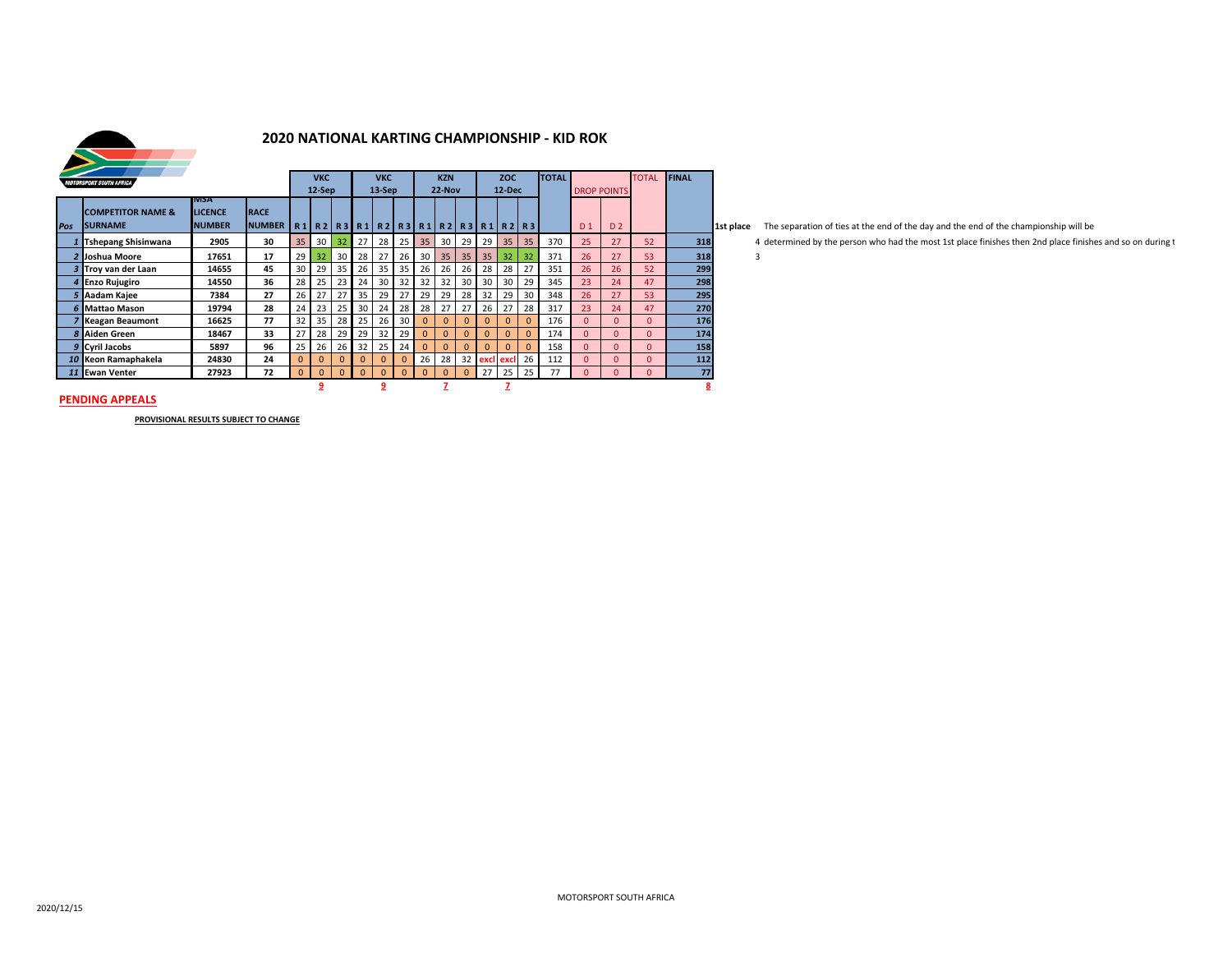

## **2020 NATIONAL KARTING CHAMPIONSHIP - KID ROK**

| <b>MOTORSPORT SOUTH AFRICA</b> |                                                 |                                                 |                              | <b>VKC</b><br>$12-$ Sep |              |          | <b>VKC</b><br>$13-Sep$ |                 |              |              | <b>KZN</b><br>22-Nov |          | <b>ZOC</b><br>12-Dec |                                                 |              | <b>TOTAL</b> | <b>DROP POINTS</b> |                | <b>TOTAL</b> | <b>FINAL</b> |           |
|--------------------------------|-------------------------------------------------|-------------------------------------------------|------------------------------|-------------------------|--------------|----------|------------------------|-----------------|--------------|--------------|----------------------|----------|----------------------|-------------------------------------------------|--------------|--------------|--------------------|----------------|--------------|--------------|-----------|
| Pos                            | <b>COMPETITOR NAME &amp;</b><br><b>ISURNAME</b> | <b>IVISA</b><br><b>LICENCE</b><br><b>NUMBER</b> | <b>RACE</b><br><b>NUMBER</b> | R1                      |              |          |                        |                 |              |              |                      |          |                      | R2   R3   R1   R2   R3   R1   R2   R3   R1   R2 | <b>R3</b>    |              | D <sub>1</sub>     | D <sub>2</sub> |              |              | 1st place |
|                                | <b>Tshepang Shisinwana</b>                      | 2905                                            | 30                           | 35                      | 30           | 32       | 27                     | 28              | 25           | 35           | 30                   | 29       | 29                   | 35                                              | 35           | 370          | 25                 | 27             | 52           | 318          |           |
|                                | 2 Joshua Moore                                  | 17651                                           | 17                           | 29                      | 32           | 30       | 28                     | 27              | 26           | 30           | 35                   | 35       | 35                   | 32                                              | 32           | 371          | 26                 | 27             | 53           | 318          |           |
|                                | 3 Trov van der Laan                             | 14655                                           | 45                           | 30                      | 29           | 35       | 26                     | 35              | 35           | 26           | 26                   | 26       | 28                   | 28                                              | 27           | 351          | 26                 | 26             | 52           | 299          |           |
|                                | 4 Enzo Rujugiro                                 | 14550                                           | 36                           | 28                      | 25           | 23       | 24                     | 30 <sup>1</sup> | 32           | 32           | 32                   | 30       | 30                   | 30                                              | 29           | 345          | 23                 | 24             | 47           | 298          |           |
|                                | 5 Aadam Kajee                                   | 7384                                            | 27                           | 26                      | 27           | 27       | 35                     | 29              | 27           | 29           | 29                   | 28       | 32                   | 29                                              | 30           | 348          | 26                 | 27             | 53           | 295          |           |
|                                | 6 Mattao Mason                                  | 19794                                           | 28                           | 24                      | 23           | 25       | 30                     | 24              | 28           | 28           | 27                   | 27       | 26                   | 27                                              | 28           | 317          | 23                 | 24             | 47           | 270          |           |
|                                | <b>7 Keagan Beaumont</b>                        | 16625                                           | 77                           | 32                      | 35           | 28       | 25                     | 26              | 30           | $\mathbf{0}$ | $\Omega$             | $\Omega$ | $\Omega$             | $\Omega$                                        | $\Omega$     | 176          | $\Omega$           | $\Omega$       | $\Omega$     | 176          |           |
|                                | 8 Aiden Green                                   | 18467                                           | 33                           | 27                      | 28           | 29       | 29                     | 32              | 29           | $\mathbf{0}$ | $\Omega$             | $\Omega$ | $\Omega$             | $\Omega$                                        | $\Omega$     | 174          | $\Omega$           | $\Omega$       | $\Omega$     | 174          |           |
|                                | 9 Cyril Jacobs                                  | 5897                                            | 96                           | 25                      | 26           | 26       | 32                     | 25              | 24           | $\mathbf{0}$ | $\Omega$             | $\Omega$ | $\Omega$             | $\Omega$                                        | $\mathbf{0}$ | 158          | $\Omega$           | $\Omega$       | 0            | 158          |           |
|                                | 10 Keon Ramaphakela                             | 24830                                           | 24                           | $\mathbf{0}$            | $\mathbf{0}$ | $\Omega$ | $\Omega$               | $\Omega$        | $\mathbf{0}$ | 26           | 28                   | 32       |                      | excl excl                                       | 26           | 112          | $\Omega$           | $\Omega$       | 0            | 112          |           |
|                                | 11 Ewan Venter                                  | 27923                                           | 72                           | $\Omega$                | $\mathbf{0}$ | $\Omega$ | $\Omega$               | $\Omega$        | $\Omega$     | $\Omega$     | $\Omega$             | $\Omega$ | 27                   | 25                                              | 25           | 77           | $\Omega$           | $\Omega$       | $\Omega$     | 77           |           |
|                                |                                                 |                                                 |                              |                         | 9            |          |                        | 9               |              |              |                      |          |                      |                                                 |              |              |                    |                |              | <u>8</u>     |           |

t place The separation of ties at the end of the day and the end of the championship will be

*1* **Tshepang Shisinwana 2905 30** 35 30 32 27 28 25 35 30 29 29 35 35 370 25 27 52 **318** 4 determined by the person who had the most 1st place finishes then 2nd place finishes and so on during t

#### **PENDING APPEALS**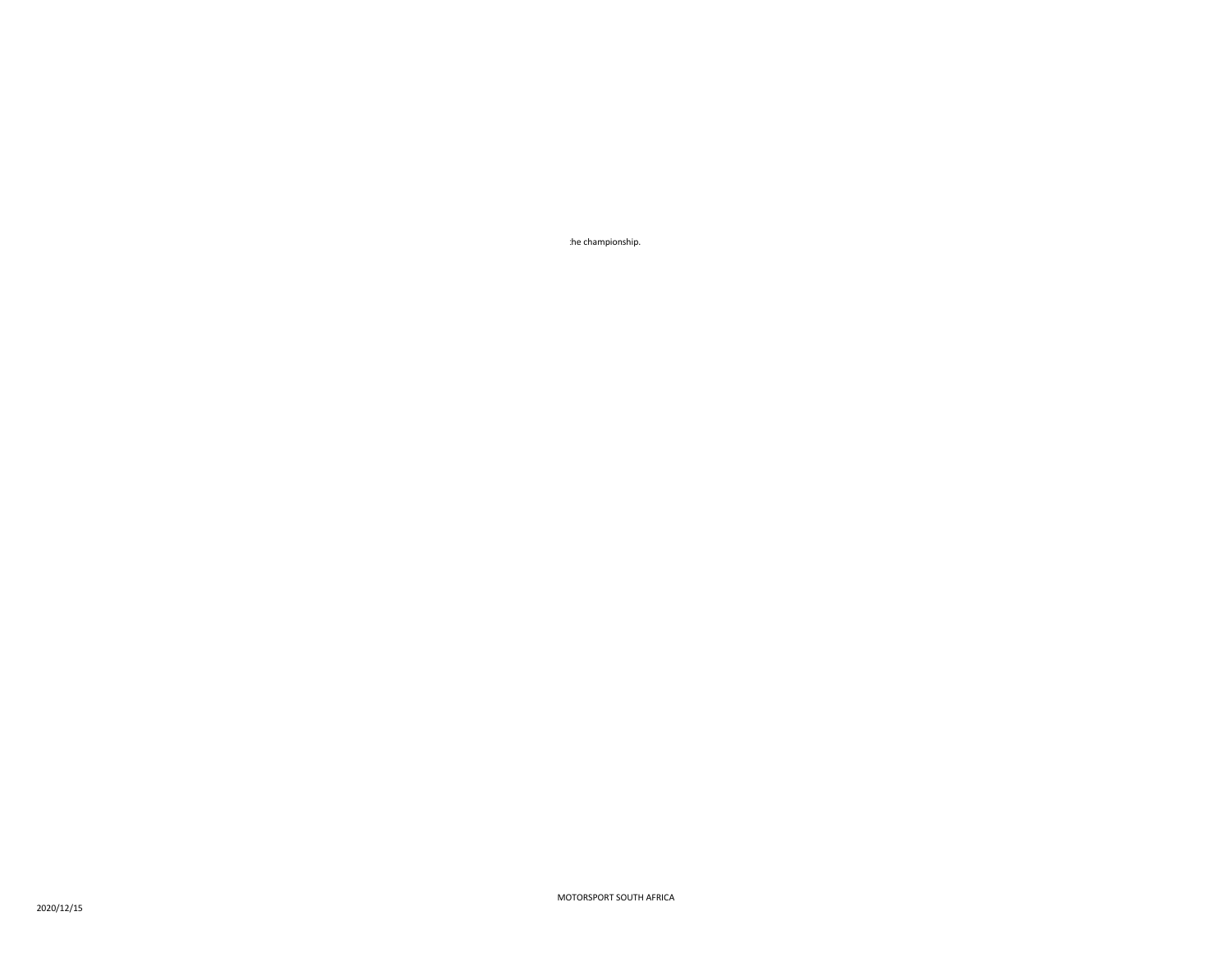the championship.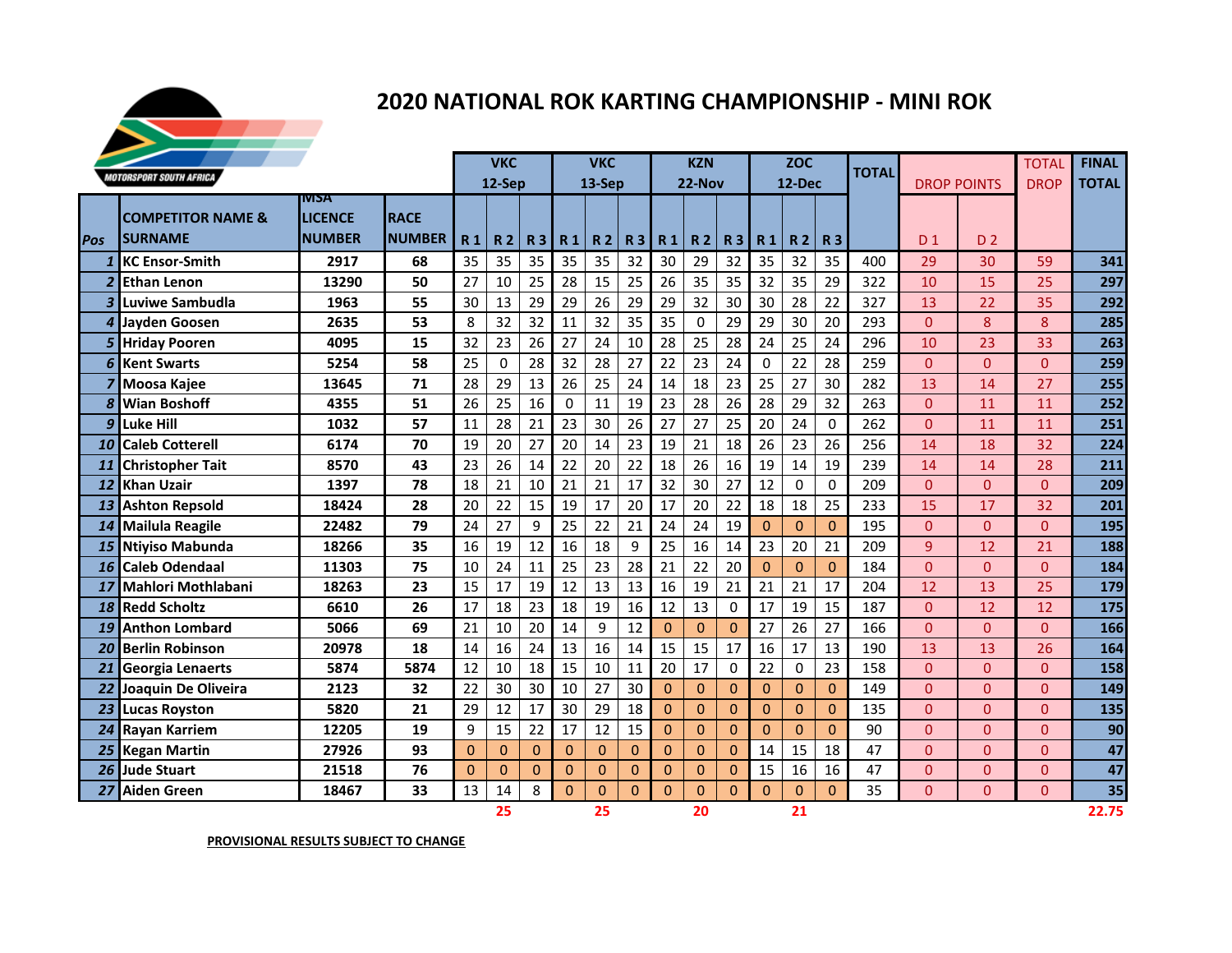

# **2020 NATIONAL ROK KARTING CHAMPIONSHIP - MINI ROK**

|                 |                                |                | <b>VKC</b>    |                |                | <b>VKC</b>     |                |                |          | <b>KZN</b>     |              | <b>ZOC</b>     |                |              | <b>TOTAL</b> |     |                    | <b>TOTAL</b>   | <b>FINAL</b> |              |
|-----------------|--------------------------------|----------------|---------------|----------------|----------------|----------------|----------------|----------------|----------|----------------|--------------|----------------|----------------|--------------|--------------|-----|--------------------|----------------|--------------|--------------|
|                 | <b>MOTORSPORT SOUTH AFRICA</b> |                |               |                | 12-Sep         |                |                | 13-Sep         |          |                | 22-Nov       |                |                | 12-Dec       |              |     | <b>DROP POINTS</b> |                | <b>DROP</b>  | <b>TOTAL</b> |
|                 |                                | <b>IVISA</b>   |               |                |                |                |                |                |          |                |              |                |                |              |              |     |                    |                |              |              |
|                 | <b>COMPETITOR NAME &amp;</b>   | <b>LICENCE</b> | <b>RACE</b>   |                |                |                |                |                |          |                |              |                |                |              |              |     |                    |                |              |              |
| <b>Pos</b>      | <b>SURNAME</b>                 | <b>NUMBER</b>  | <b>NUMBER</b> | R <sub>1</sub> | <b>R2</b>      | R <sub>3</sub> | R <sub>1</sub> | R <sub>2</sub> | R 3      | <b>R1</b>      | <b>R2</b>    | <b>R3</b>      | R <sub>1</sub> | <b>R2</b>    | <b>R3</b>    |     | D <sub>1</sub>     | D <sub>2</sub> |              |              |
| $\mathbf{1}$    | <b>KC Ensor-Smith</b>          | 2917           | 68            | 35             | 35             | 35             | 35             | 35             | 32       | 30             | 29           | 32             | 35             | 32           | 35           | 400 | 29                 | 30             | 59           | 341          |
| 2 <sup>1</sup>  | <b>Ethan Lenon</b>             | 13290          | 50            | 27             | 10             | 25             | 28             | 15             | 25       | 26             | 35           | 35             | 32             | 35           | 29           | 322 | 10                 | 15             | 25           | 297          |
|                 | 3 Luviwe Sambudla              | 1963           | 55            | 30             | 13             | 29             | 29             | 26             | 29       | 29             | 32           | 30             | 30             | 28           | 22           | 327 | 13                 | 22             | 35           | 292          |
| 4               | <b>Jayden Goosen</b>           | 2635           | 53            | 8              | 32             | 32             | 11             | 32             | 35       | 35             | $\Omega$     | 29             | 29             | 30           | 20           | 293 | $\Omega$           | 8              | 8            | 285          |
| 5               | <b>Hriday Pooren</b>           | 4095           | 15            | 32             | 23             | 26             | 27             | 24             | 10       | 28             | 25           | 28             | 24             | 25           | 24           | 296 | 10                 | 23             | 33           | 263          |
| 6 <sup>1</sup>  | <b>Kent Swarts</b>             | 5254           | 58            | 25             | $\Omega$       | 28             | 32             | 28             | 27       | 22             | 23           | 24             | $\Omega$       | 22           | 28           | 259 | $\Omega$           | $\Omega$       | $\Omega$     | 259          |
| $\overline{z}$  | Moosa Kajee                    | 13645          | 71            | 28             | 29             | 13             | 26             | 25             | 24       | 14             | 18           | 23             | 25             | 27           | 30           | 282 | 13                 | 14             | 27           | 255          |
| 8               | <b>Wian Boshoff</b>            | 4355           | 51            | 26             | 25             | 16             | 0              | 11             | 19       | 23             | 28           | 26             | 28             | 29           | 32           | 263 | $\Omega$           | 11             | 11           | 252          |
| 9               | <b>Luke Hill</b>               | 1032           | 57            | 11             | 28             | 21             | 23             | 30             | 26       | 27             | 27           | 25             | 20             | 24           | $\Omega$     | 262 | $\Omega$           | 11             | 11           | 251          |
| 10 <sup>1</sup> | <b>Caleb Cotterell</b>         | 6174           | 70            | 19             | 20             | 27             | 20             | 14             | 23       | 19             | 21           | 18             | 26             | 23           | 26           | 256 | 14                 | 18             | 32           | 224          |
| 11              | <b>Christopher Tait</b>        | 8570           | 43            | 23             | 26             | 14             | 22             | 20             | 22       | 18             | 26           | 16             | 19             | 14           | 19           | 239 | 14                 | 14             | 28           | 211          |
| 12              | <b>Khan Uzair</b>              | 1397           | 78            | 18             | 21             | 10             | 21             | 21             | 17       | 32             | 30           | 27             | 12             | $\Omega$     | $\Omega$     | 209 | $\Omega$           | $\Omega$       | $\Omega$     | 209          |
|                 | 13 Ashton Repsold              | 18424          | 28            | 20             | 22             | 15             | 19             | 17             | 20       | 17             | 20           | 22             | 18             | 18           | 25           | 233 | 15                 | 17             | 32           | 201          |
|                 | 14 Mailula Reagile             | 22482          | 79            | 24             | 27             | 9              | 25             | 22             | 21       | 24             | 24           | 19             | $\Omega$       | $\Omega$     | $\Omega$     | 195 | $\Omega$           | $\Omega$       | $\Omega$     | 195          |
| 15              | Ntiyiso Mabunda                | 18266          | 35            | 16             | 19             | 12             | 16             | 18             | 9        | 25             | 16           | 14             | 23             | 20           | 21           | 209 | 9                  | 12             | 21           | 188          |
| 16              | <b>Caleb Odendaal</b>          | 11303          | 75            | 10             | 24             | 11             | 25             | 23             | 28       | 21             | 22           | 20             | $\Omega$       | $\Omega$     | $\Omega$     | 184 | $\overline{0}$     | $\Omega$       | $\Omega$     | 184          |
| 17              | <b>Mahlori Mothlabani</b>      | 18263          | 23            | 15             | 17             | 19             | 12             | 13             | 13       | 16             | 19           | 21             | 21             | 21           | 17           | 204 | 12                 | 13             | 25           | 179          |
| 18              | <b>Redd Scholtz</b>            | 6610           | 26            | 17             | 18             | 23             | 18             | 19             | 16       | 12             | 13           | $\Omega$       | 17             | 19           | 15           | 187 | $\Omega$           | 12             | 12           | 175          |
| 19              | <b>Anthon Lombard</b>          | 5066           | 69            | 21             | 10             | 20             | 14             | 9              | 12       | $\Omega$       | $\Omega$     | $\Omega$       | 27             | 26           | 27           | 166 | $\Omega$           | $\Omega$       | $\Omega$     | 166          |
| 20 <sup>1</sup> | <b>Berlin Robinson</b>         | 20978          | 18            | 14             | 16             | 24             | 13             | 16             | 14       | 15             | 15           | 17             | 16             | 17           | 13           | 190 | 13                 | 13             | 26           | 164          |
|                 | 21 Georgia Lenaerts            | 5874           | 5874          | 12             | 10             | 18             | 15             | 10             | 11       | 20             | 17           | $\Omega$       | 22             | 0            | 23           | 158 | $\Omega$           | $\Omega$       | $\Omega$     | 158          |
| 22              | Joaquin De Oliveira            | 2123           | 32            | 22             | 30             | 30             | 10             | 27             | 30       | $\Omega$       | $\Omega$     | $\Omega$       | $\Omega$       | $\Omega$     | $\Omega$     | 149 | $\Omega$           | $\Omega$       | $\Omega$     | 149          |
|                 | 23 Lucas Royston               | 5820           | 21            | 29             | 12             | 17             | 30             | 29             | 18       | $\overline{0}$ | $\mathbf{0}$ | $\Omega$       | $\mathbf{0}$   | $\mathbf{0}$ | $\Omega$     | 135 | $\Omega$           | $\Omega$       | $\Omega$     | 135          |
|                 | 24 Rayan Karriem               | 12205          | 19            | 9              | 15             | 22             | 17             | 12             | 15       | $\Omega$       | $\Omega$     | $\Omega$       | $\Omega$       | $\Omega$     | $\Omega$     | 90  | $\Omega$           | $\Omega$       | $\Omega$     | 90           |
|                 | 25 Kegan Martin                | 27926          | 93            | $\overline{0}$ | $\mathbf{0}$   | $\Omega$       | $\overline{0}$ | $\mathbf{0}$   | $\Omega$ | $\overline{0}$ | $\mathbf{0}$ | $\Omega$       | 14             | 15           | 18           | 47  | $\Omega$           | $\Omega$       | $\Omega$     | 47           |
| 26              | <b>Jude Stuart</b>             | 21518          | 76            | $\Omega$       | $\overline{0}$ | $\Omega$       | $\Omega$       | $\Omega$       | 0        | $\Omega$       | $\Omega$     | $\overline{0}$ | 15             | 16           | 16           | 47  | $\overline{0}$     | $\Omega$       | $\Omega$     | 47           |
| 27              | <b>Aiden Green</b>             | 18467          | 33            | 13             | 14             | 8              | $\Omega$       | $\Omega$       | $\Omega$ | $\Omega$       | $\mathbf 0$  | $\Omega$       | $\overline{0}$ | $\Omega$     | $\Omega$     | 35  | $\Omega$           | $\Omega$       | $\Omega$     | 35           |
|                 |                                |                |               |                | 25             |                |                | 25             |          |                | 20           |                |                | 21           |              |     |                    |                |              | 22.75        |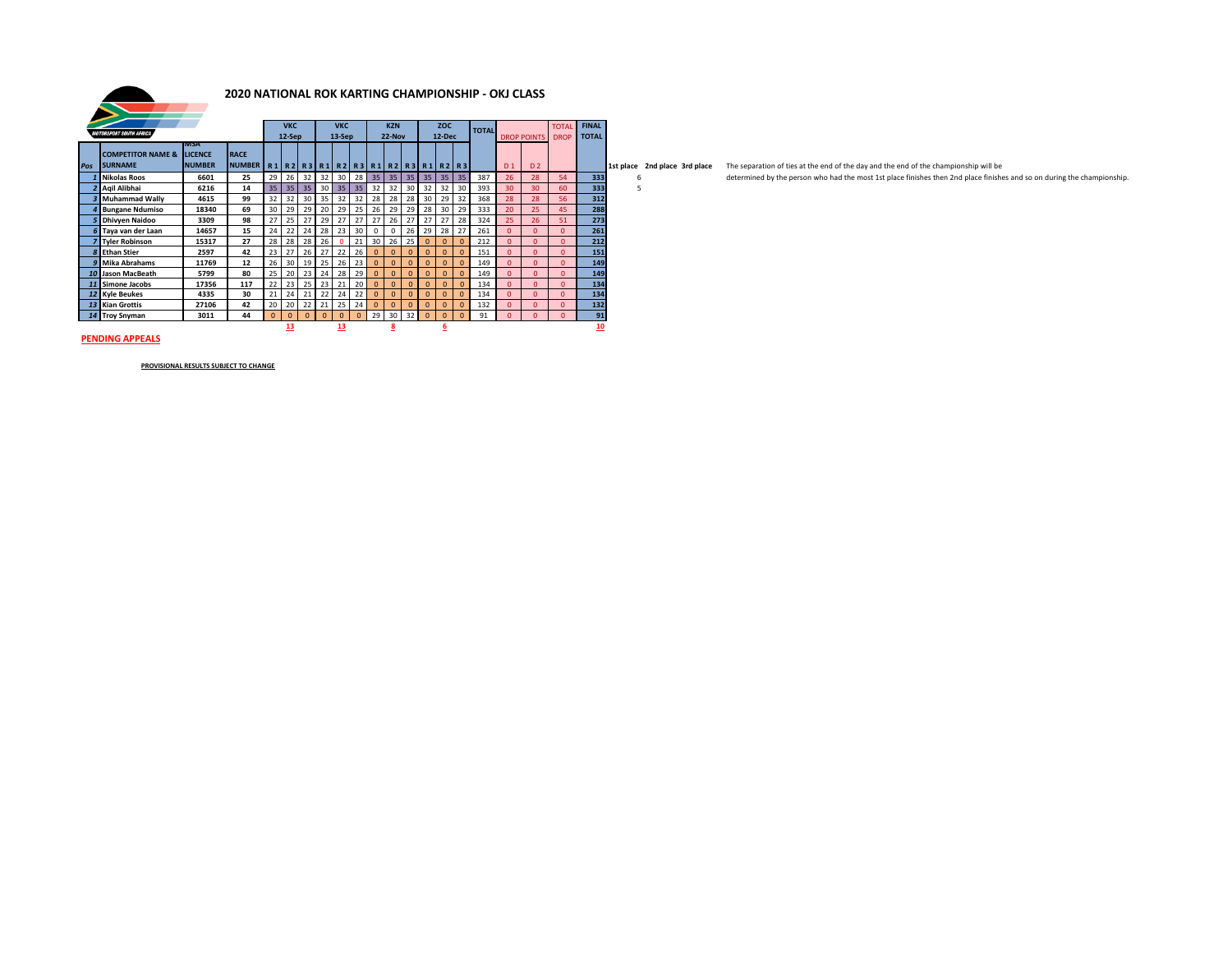

### **2020 NATIONAL ROK KARTING CHAMPIONSHIP - OKJ CLASS**

|                  |                                |                        |               |                 |                |            |          |          |            | <b>KZN</b>           |              |              |              |            |              |              |                |                    |              |              |           |
|------------------|--------------------------------|------------------------|---------------|-----------------|----------------|------------|----------|----------|------------|----------------------|--------------|--------------|--------------|------------|--------------|--------------|----------------|--------------------|--------------|--------------|-----------|
|                  | <b>MOTORSPORT SOUTH AFRICA</b> |                        |               |                 |                | <b>VKC</b> |          |          | <b>VKC</b> |                      |              |              |              | <b>ZOC</b> |              | <b>TOTAL</b> |                |                    | <b>TOTAL</b> | <b>FINAL</b> |           |
|                  |                                |                        |               |                 | 12-Sep         |            |          | 13-Sep   |            |                      | $22-Nov$     |              |              | $12$ -Dec  |              |              |                | <b>DROP POINTS</b> | <b>DROP</b>  | <b>TOTAL</b> |           |
|                  | <b>COMPETITOR NAME &amp;</b>   | IMSA<br><b>LICENCE</b> | <b>RACE</b>   |                 |                |            |          |          |            |                      |              |              |              |            |              |              |                |                    |              |              |           |
|                  |                                |                        |               |                 |                |            |          |          |            |                      |              |              |              |            |              |              |                |                    |              |              |           |
| Pos              | <b>SURNAME</b>                 | <b>NUMBER</b>          | <b>NUMBER</b> |                 | R1 R2 R3 R1 R2 |            |          |          |            | R3 R1 R2 R3 R1 R2 R3 |              |              |              |            |              |              | D <sub>1</sub> | D <sub>2</sub>     |              |              | 1st place |
|                  | <b>Nikolas Roos</b>            | 6601                   | 25            | 29              | 26             | 32         | 32       | 30       | 28         | 35                   | 35           | 35           | 35           | 35         | 35           | 387          | 26             | 28                 | 54           | 333          | 6         |
|                  | Agil Alibhai                   | 6216                   | 14            | 35 <sub>2</sub> | 35             | 35         | 30       | 35       | 35         | 32                   | 32           | 30           | 32           | 32         | 30           | 393          | 30             | 30                 | 60           | 333          |           |
|                  | <b>Muhammad Wally</b>          | 4615                   | 99            | 32              | 32             | 30         | 35       | 32       | 32         | 28                   | 28           | 28           | 30           | 29         | 32           | 368          | 28             | 28                 | 56           | 312          |           |
|                  | <b>Bungane Ndumiso</b>         | 18340                  | 69            | 30              | 29             | 29         | 20       | 29       | 25         | 26                   | 29           | 29           | 28           | 30         | 29           | 333          | 20             | 25                 | 45           | 288          |           |
|                  | <b>Dhivven Naidoo</b>          | 3309                   | 98            | 27              | 25             | 27         | 29       | 27       | 27         | 27                   | 26           | 27           | 27           | 27         | 28           | 324          | 25             | 26                 | 51           | 273          |           |
| 6                | Taya van der Laan              | 14657                  | 15            | 24              | 22             | 24         | 28       | 23       | 30         | 0                    | 0            | 26           | 29           | 28         | 27           | 261          | $\Omega$       | $\Omega$           | $\Omega$     | 261          |           |
|                  | <b>Tyler Robinson</b>          | 15317                  | 27            | 28              | 28             | 28         | 26       | $\Omega$ | 21         | 30                   | 26           | 25           | $\mathbf 0$  | $\Omega$   | $\mathbf{0}$ | 212          | $\Omega$       | $\Omega$           | $\Omega$     | 212          |           |
| $\boldsymbol{s}$ | <b>Ethan Stier</b>             | 2597                   | 42            | 23              | 27             | 26         | 27       | 22       | 26         | $\Omega$             | $\Omega$     | $\Omega$     | $\Omega$     | $\Omega$   | $\Omega$     | 151          | $\Omega$       | $\Omega$           | $\Omega$     | 151          |           |
| q                | <b>Mika Abrahams</b>           | 11769                  | 12            | 26              | 30             | 19         | 25       | 26       | 23         | $\Omega$             | $\Omega$     | $\Omega$     | $\mathbf{0}$ | $\Omega$   | $\Omega$     | 149          | $\Omega$       | $\Omega$           | $\Omega$     | 149          |           |
| 10 <sup>1</sup>  | Jason MacBeath                 | 5799                   | 80            | 25              | 20             | 23         | 24       | 28       | 29         | $\Omega$             | $\Omega$     | $\Omega$     | $\mathbf{0}$ | $\Omega$   | $\Omega$     | 149          | $\Omega$       | $\Omega$           | $\Omega$     | 149          |           |
| 11               | <b>Simone Jacobs</b>           | 17356                  | 117           | 22              | 23             | 25         | 23       | 21       | 20         | $\mathbf{0}$         | $\mathbf{0}$ | $\mathbf{0}$ | $\mathbf{0}$ | $\Omega$   | $\Omega$     | 134          | $\Omega$       | $\Omega$           | $\Omega$     | 134          |           |
|                  | 12 Kyle Beukes                 | 4335                   | 30            | 21              | 24             | 21         | 22       | 24       | 22         | $\Omega$             | $\Omega$     | $\Omega$     | $\mathbf 0$  | $\Omega$   | $\Omega$     | 134          | $\Omega$       | $\Omega$           | $\Omega$     | 134          |           |
|                  | 13 Kian Grottis                | 27106                  | 42            | 20              | 20             | 22         | 21       | 25       | 24         | $\mathbf{0}$         | $\Omega$     | $\Omega$     | $\Omega$     | $\Omega$   | $\Omega$     | 132          | $\Omega$       | $\Omega$           | $\Omega$     | 132          |           |
| 14               | <b>Troy Snyman</b>             | 3011                   | 44            | $\Omega$        | $\mathbf{0}$   | $\Omega$   | $\Omega$ | $\Omega$ | $\Omega$   | 29                   | 30           | 32           | $\Omega$     | $\Omega$   | $\Omega$     | 91           | o              | $\Omega$           | o            | 91           |           |
|                  |                                |                        |               |                 | 13             |            |          | 13       |            |                      | 8            |              |              | 6          |              |              |                |                    |              | 10           |           |

place 2nd place 3rd place The separation of ties at the end of the day and the end of the championship will be

6 determined by the person who had the most 1st place finishes then 2nd place finishes and so on during the championship.<br>5

**PENDING APPEALS**